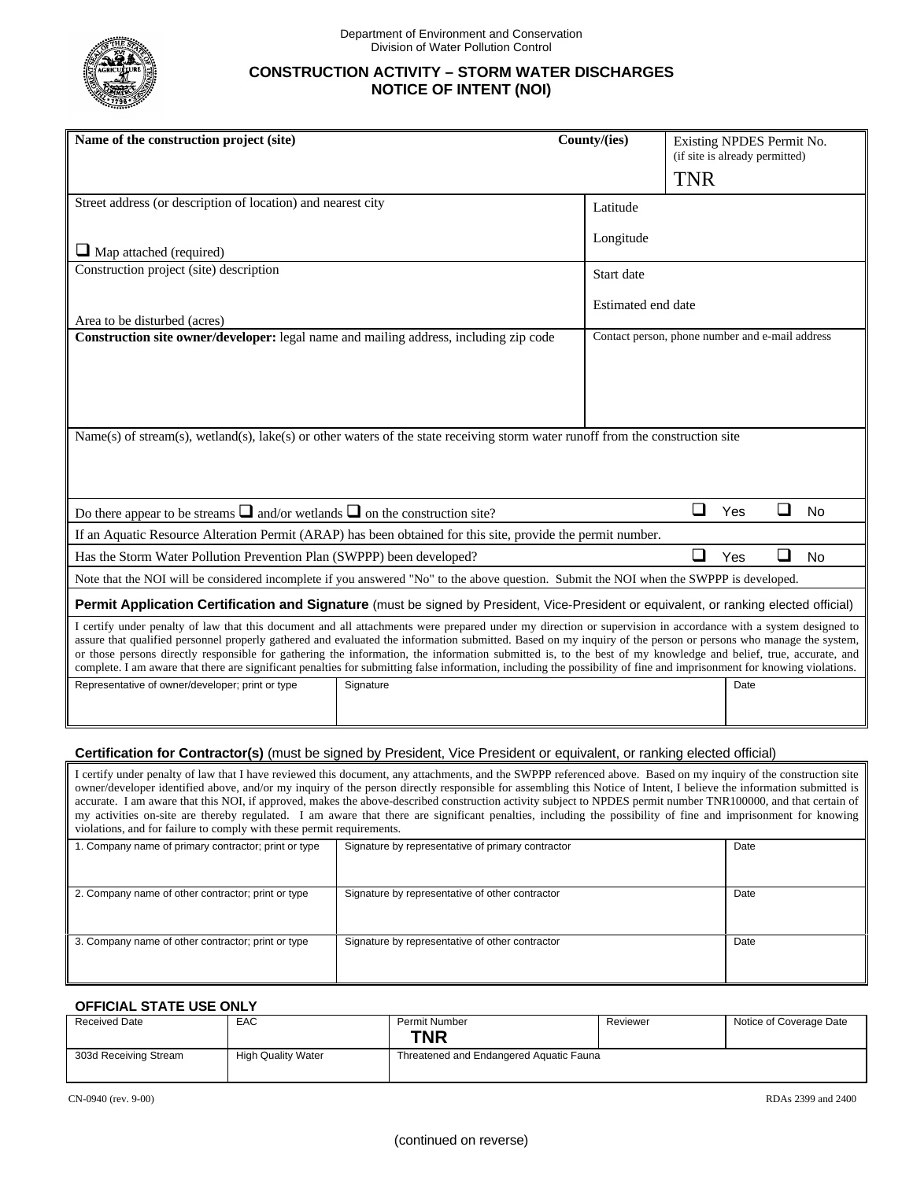

## **CONSTRUCTION ACTIVITY – STORM WATER DISCHARGES NOTICE OF INTENT (NOI)**

| Name of the construction project (site)                                                                                                                                                                                                                                                                                                                                                                                                                                                                                                                                                                                                                                     | County/(ies) |                                                 | Existing NPDES Permit No.<br>(if site is already permitted)<br><b>TNR</b> |      |        |           |
|-----------------------------------------------------------------------------------------------------------------------------------------------------------------------------------------------------------------------------------------------------------------------------------------------------------------------------------------------------------------------------------------------------------------------------------------------------------------------------------------------------------------------------------------------------------------------------------------------------------------------------------------------------------------------------|--------------|-------------------------------------------------|---------------------------------------------------------------------------|------|--------|-----------|
| Street address (or description of location) and nearest city                                                                                                                                                                                                                                                                                                                                                                                                                                                                                                                                                                                                                |              | Latitude                                        |                                                                           |      |        |           |
| $\Box$ Map attached (required)                                                                                                                                                                                                                                                                                                                                                                                                                                                                                                                                                                                                                                              |              | Longitude                                       |                                                                           |      |        |           |
| Construction project (site) description                                                                                                                                                                                                                                                                                                                                                                                                                                                                                                                                                                                                                                     |              | Start date                                      |                                                                           |      |        |           |
| Area to be disturbed (acres)                                                                                                                                                                                                                                                                                                                                                                                                                                                                                                                                                                                                                                                |              |                                                 | Estimated end date                                                        |      |        |           |
| Construction site owner/developer: legal name and mailing address, including zip code                                                                                                                                                                                                                                                                                                                                                                                                                                                                                                                                                                                       |              | Contact person, phone number and e-mail address |                                                                           |      |        |           |
|                                                                                                                                                                                                                                                                                                                                                                                                                                                                                                                                                                                                                                                                             |              |                                                 |                                                                           |      |        |           |
|                                                                                                                                                                                                                                                                                                                                                                                                                                                                                                                                                                                                                                                                             |              |                                                 |                                                                           |      |        |           |
| Name(s) of stream(s), wetland(s), lake(s) or other waters of the state receiving storm water runoff from the construction site                                                                                                                                                                                                                                                                                                                                                                                                                                                                                                                                              |              |                                                 |                                                                           |      |        |           |
|                                                                                                                                                                                                                                                                                                                                                                                                                                                                                                                                                                                                                                                                             |              |                                                 |                                                                           |      |        |           |
| Do there appear to be streams $\Box$ and/or wetlands $\Box$ on the construction site?                                                                                                                                                                                                                                                                                                                                                                                                                                                                                                                                                                                       |              |                                                 | ❏                                                                         | Yes  | $\Box$ | <b>No</b> |
| If an Aquatic Resource Alteration Permit (ARAP) has been obtained for this site, provide the permit number.                                                                                                                                                                                                                                                                                                                                                                                                                                                                                                                                                                 |              |                                                 |                                                                           |      |        |           |
| ❏<br>Has the Storm Water Pollution Prevention Plan (SWPPP) been developed?                                                                                                                                                                                                                                                                                                                                                                                                                                                                                                                                                                                                  |              |                                                 |                                                                           | Yes  | $\Box$ | <b>No</b> |
| Note that the NOI will be considered incomplete if you answered "No" to the above question. Submit the NOI when the SWPPP is developed.                                                                                                                                                                                                                                                                                                                                                                                                                                                                                                                                     |              |                                                 |                                                                           |      |        |           |
| Permit Application Certification and Signature (must be signed by President, Vice-President or equivalent, or ranking elected official)                                                                                                                                                                                                                                                                                                                                                                                                                                                                                                                                     |              |                                                 |                                                                           |      |        |           |
| I certify under penalty of law that this document and all attachments were prepared under my direction or supervision in accordance with a system designed to<br>assure that qualified personnel properly gathered and evaluated the information submitted. Based on my inquiry of the person or persons who manage the system,<br>or those persons directly responsible for gathering the information, the information submitted is, to the best of my knowledge and belief, true, accurate, and<br>complete. I am aware that there are significant penalties for submitting false information, including the possibility of fine and imprisonment for knowing violations. |              |                                                 |                                                                           |      |        |           |
| Representative of owner/developer; print or type                                                                                                                                                                                                                                                                                                                                                                                                                                                                                                                                                                                                                            | Signature    |                                                 |                                                                           | Date |        |           |

## **Certification for Contractor(s)** (must be signed by President, Vice President or equivalent, or ranking elected official)

I certify under penalty of law that I have reviewed this document, any attachments, and the SWPPP referenced above. Based on my inquiry of the construction site owner/developer identified above, and/or my inquiry of the person directly responsible for assembling this Notice of Intent, I believe the information submitted is accurate. I am aware that this NOI, if approved, makes the above-described construction activity subject to NPDES permit number TNR100000, and that certain of my activities on-site are thereby regulated. I am aware that there are significant penalties, including the possibility of fine and imprisonment for knowing violations, and for failure to comply with these permit requirements.

| 1. Company name of primary contractor; print or type | Signature by representative of primary contractor | Date |
|------------------------------------------------------|---------------------------------------------------|------|
| 2. Company name of other contractor; print or type   | Signature by representative of other contractor   | Date |
| 3. Company name of other contractor; print or type   | Signature by representative of other contractor   | Date |

## **OFFICIAL STATE USE ONLY**

| <b>Received Date</b>  | EAC                       | Permit Number                           | Reviewer | Notice of Coverage Date |
|-----------------------|---------------------------|-----------------------------------------|----------|-------------------------|
|                       |                           | TNR                                     |          |                         |
| 303d Receiving Stream | <b>High Quality Water</b> | Threatened and Endangered Aquatic Fauna |          |                         |
|                       |                           |                                         |          |                         |